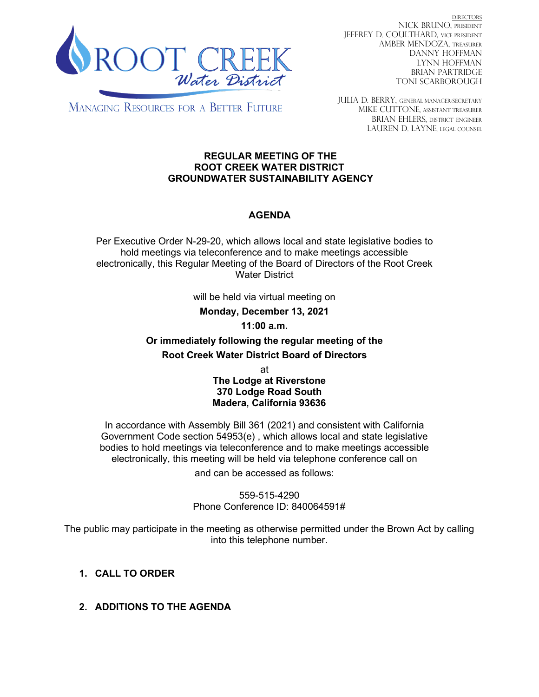

DIRECTORS NICK BRUNO, PRESIDENT JEFFREY D. COULTHARD, Vice President AMBER MENDOZA, TREASURER DANNY HOFFMAN LYNN HOFFMAN BRIAN PARTRIDGE TONI SCARBOROUGH

**MANAGING RESOURCES FOR A BETTER FUTURE** 

JULIA D. BERRY, GENERAL MANAGER/secretary MIKE CUTTONE, Assistant treasurer BRIAN EHLERS, DISTRICT ENGINEER LAUREN D. LAYNE, LEGAL COUNSEL

#### **REGULAR MEETING OF THE ROOT CREEK WATER DISTRICT GROUNDWATER SUSTAINABILITY AGENCY**

# **AGENDA**

Per Executive Order N-29-20, which allows local and state legislative bodies to hold meetings via teleconference and to make meetings accessible electronically, this Regular Meeting of the Board of Directors of the Root Creek Water District

will be held via virtual meeting on

**Monday, December 13, 2021**

**11:00 a.m.**

**Or immediately following the regular meeting of the Root Creek Water District Board of Directors**

> at **The Lodge at Riverstone 370 Lodge Road South Madera, California 93636**

In accordance with Assembly Bill 361 (2021) and consistent with California Government Code section 54953(e) , which allows local and state legislative bodies to hold meetings via teleconference and to make meetings accessible electronically, this meeting will be held via telephone conference call on

and can be accessed as follows:

559-515-4290 Phone Conference ID: 840064591#

The public may participate in the meeting as otherwise permitted under the Brown Act by calling into this telephone number.

# **1. CALL TO ORDER**

**2. ADDITIONS TO THE AGENDA**